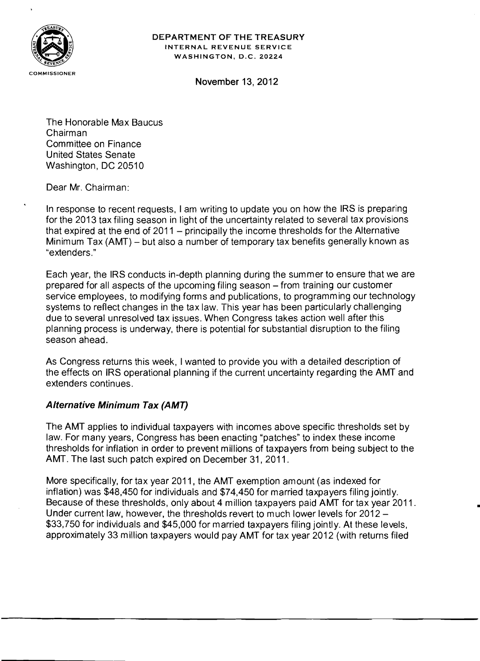

## DEPARTMENT OF THE TREASURY INTERNAL REVENUE SERVICE WASHINGTON, D.C. 20224

November 13, 2012

The Honorable Max Baucus Chairman Committee on Finance United States Senate Washington, DC 20510

Dear Mr. Chairman:

In response to recent requests, I am writing to update you on how the IRS is preparing for the 2013 tax filing season in light of the uncertainty related to several tax provisions that expired at the end of  $2011 -$  principally the income thresholds for the Alternative Minimum Tax (AMT) – but also a number of temporary tax benefits generally known as "extenders."

Each year, the IRS conducts in-depth planning during the summer to ensure that we are prepared for all aspects of the upcoming filing season – from training our customer service employees, to modifying forms and publications, to programming our technology systems to reflect changes in the tax law. This year has been particularly challenging due to several unresolved tax issues. When Congress takes action well after this planning process is underway, there is potential for substantial disruption to the filing season ahead.

As Congress returns this week, I wanted to provide you with a detailed description of the effects on IRS operational planning if the current uncertainty regarding the AMT and extenders continues.

## Alternative Minimum Tax (AMT)

The AMT applies to individual taxpayers with incomes above specific thresholds set by law. For many years, Congress has been enacting "patches" to index these income thresholds for inflation in order to prevent millions of taxpayers from being subject to the AMT. The last such patch expired on December 31, 2011.

More specifically, for tax year 2011, the AMT exemption amount (as indexed for inflation) was \$48,450 for individuals and \$74,450 for married taxpayers filing jointly. Because of these thresholds, only about 4 million taxpayers paid AMT for tax year 2011. Under current law, however, the thresholds revert to much lower levels for 2012 \$33,750 for individuals and \$45,000 for married taxpayers filing jointly. At these levels, approximately 33 million taxpayers would pay AMT for tax year 2012 (with returns filed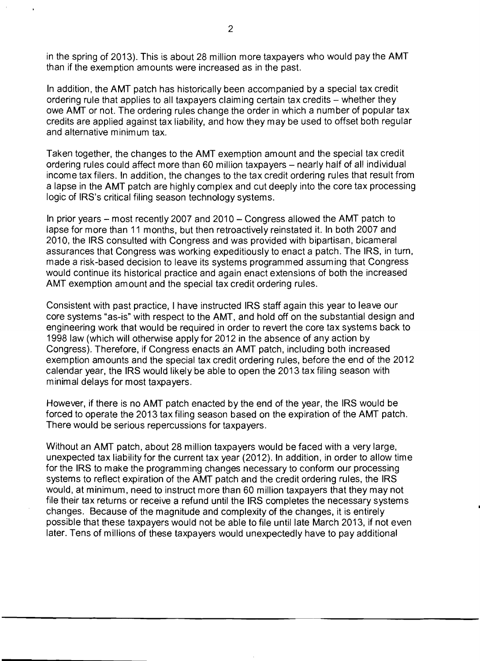in the spring of 2013). This is about 28 million more taxpayers who would pay the AMT than if the exemption amounts were increased as in the past.

In addition, the AMT patch has historically been accompanied by a special tax credit ordering rule that applies to all taxpayers claiming certain tax credits - whether they owe AMT or not. The ordering rules change the order in which a number of popular tax credits are applied against tax liability, and how they may be used to offset both regular and alternative minimum tax.

Taken together, the changes to the AMT exemption amount and the special tax credit ordering rules could affect more than 60 million taxpayers – nearly half of all individual income tax filers. In addition, the changes to the tax credit ordering rules that result from a lapse in the AMT patch are highly complex and cut deeply into the core tax processing logic of IRS's critical filing season technology systems.

In prior years – most recently 2007 and 2010 – Congress allowed the AMT patch to lapse for more than 11 months, but then retroactively reinstated it. In both 2007 and 2010, the IRS consulted with Congress and was provided with bipartisan, bicameral assurances that Congress was working expeditiously to enact a patch. The IRS, in turn, made a risk-based decision to leave its systems programmed assum ing that Congress would continue its historical practice and again enact extensions of both the increased AMT exemption amount and the special tax credit ordering rules.

Consistent with past practice, I have instructed IRS staff again this year to leave our core systems "as-is" with respect to the AMT, and hold off on the substantial design and engineering work that would be required in order to revert the core tax systems back to 1998 law (which will otherwise apply for 2012 in the absence of any action by Congress). Therefore, if Congress enacts an AMT patch, including both increased exem ption amounts and the special tax credit ordering rules, before the end of the 2012 calendar year, the IRS would likely be able to open the 2013 tax filing season with minimal delays for most taxpayers.

However, if there is no AMT patch enacted by the end of the year, the IRS would be forced to operate the 2013 tax filing season based on the expiration of the AMT patch. There would be serious repercussions for taxpayers.

Without an AMT patch, about 28 million taxpayers would be faced with a very large, unexpected tax liability for the current tax year (2012). In addition, in order to allow time for the IRS to make the programming changes necessary to conform our processing systems to reflect expiration of the AMT patch and the credit ordering rules, the IRS would, at minimum, need to instruct more than 60 million taxpayers that they may not file their tax returns or receive a refund until the IRS completes the necessary systems changes. Because of the magnitude and complexity of the changes, it is entirely possible that these taxpayers would not be able to file until late March 2013, if not even later. Tens of millions of these taxpayers would unexpectedly have to pay additional